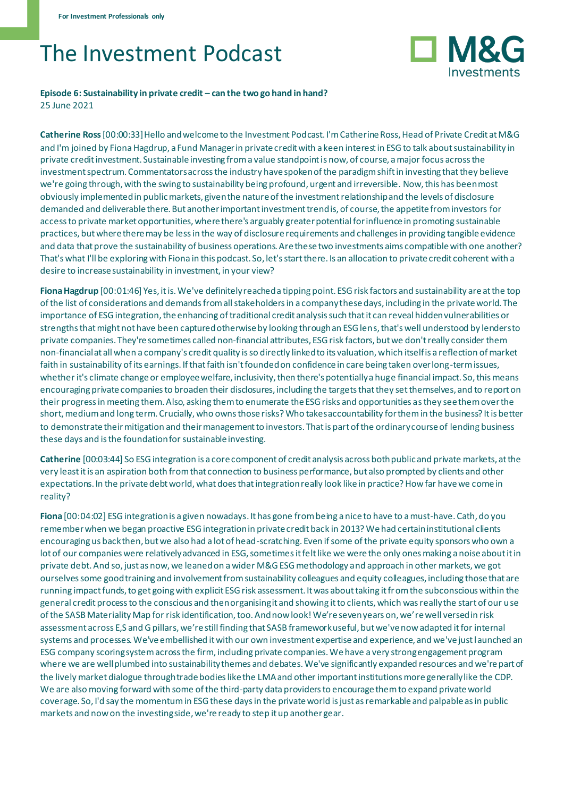## The Investment Podcast



## **Episode 6: Sustainability in private credit – can the two go hand in hand?** 25 June 2021

**Catherine Ross**[00:00:33] Hello and welcome to the Investment Podcast. I'm Catherine Ross, Head of Private Credit at M&G and I'm joined by Fiona Hagdrup, a Fund Manager in private credit with a keen interest in ESG to talk about sustainability in private credit investment. Sustainable investing from a value standpoint is now, of course, a major focus across the investment spectrum. Commentators across the industry have spoken of the paradigm shift in investing that they believe we're going through, with the swing to sustainability being profound, urgent and irreversible. Now, this has been most obviously implemented in public markets, given the nature of the investment relationship and the levels of disclosure demanded and deliverable there. But another important investment trend is, of course, the appetite from investors for access to private market opportunities, where there's arguably greater potential for influence in promoting sustainable practices, but where there may be less in the way of disclosure requirements and challenges in providing tangible evidence and data that prove the sustainability of business operations. Are these two investments aims compatible with one another? That's what I'll be exploring with Fiona in this podcast. So, let's start there. Is an allocation to private credit coherent with a desire to increase sustainability in investment, in your view?

**Fiona Hagdrup** [00:01:46] Yes, it is. We've definitely reached a tipping point. ESG risk factors and sustainability are at the top of the list of considerations and demands from all stakeholders in a company these days, including in the private world. The importance of ESG integration, the enhancing of traditional credit analysis such that it can reveal hidden vulnerabilities or strengths that might not have been captured otherwise by looking through an ESG lens, that's well understood by lenders to private companies. They're sometimes called non-financial attributes, ESG risk factors, but we don't really consider them non-financial at all when a company's credit quality is so directly linked to its valuation, which itself is a reflection of market faith in sustainability of its earnings. If that faith isn't founded on confidence in care being taken over long-term issues, whether it's climate change or employee welfare, inclusivity, then there's potentially a huge financial impact. So, this means encouraging private companies to broaden their disclosures, including the targets that they set themselves, and to report on their progress in meeting them. Also, asking them to enumerate the ESG risks and opportunities as they see them over the short, medium and long term. Crucially, who owns those risks? Who takes accountability for them in the business? It is better to demonstrate their mitigation and their management to investors. That is part of the ordinary course of lending business these days and is the foundation for sustainable investing.

**Catherine** [00:03:44] So ESG integration is a core component of credit analysis across both public and private markets, at the very least it is an aspiration both from that connection to business performance, but also prompted by clients and other expectations. In the private debt world, what does that integration really look like in practice? How far have we come in reality?

**Fiona** [00:04:02] ESG integration is a given nowadays. It has gone from being a nice to have to a must-have. Cath, do you remember when we began proactive ESG integration in private credit back in 2013? We had certain institutional clients encouraging us back then, but we also had a lot of head-scratching. Even if some of the private equity sponsors who own a lot of our companies were relatively advanced in ESG, sometimes it felt like we were the only ones making a noise about it in private debt. And so, just as now, we leaned on a wider M&G ESG methodology and approach in other markets, we got ourselves some good training and involvement from sustainability colleagues and equity colleagues, including those that are running impact funds, to get going with explicit ESG risk assessment. It was about taking it from the subconscious within the general credit process to the conscious and then organising it and showing it to clients, which was really the start of our use of the SASB Materiality Map for risk identification, too. And now look! We're seven years on, we're well versed in risk assessment across E,S and G pillars, we're still finding that SASB framework useful, but we've now adapted it for internal systems and processes. We've embellished it with our own investment expertise and experience, and we've just launched an ESG company scoring system across the firm, including private companies. We have a very strong engagement program where we are well plumbed into sustainability themes and debates. We've significantly expanded resources and we're part of the lively market dialogue through trade bodies like the LMA and other important institutions more generally like the CDP. We are also moving forward with some of the third-party data providers to encourage them to expand private world coverage. So, I'd say the momentum in ESG these days in the private world is just as remarkable and palpable as in public markets and now on the investing side, we're ready to step it up another gear.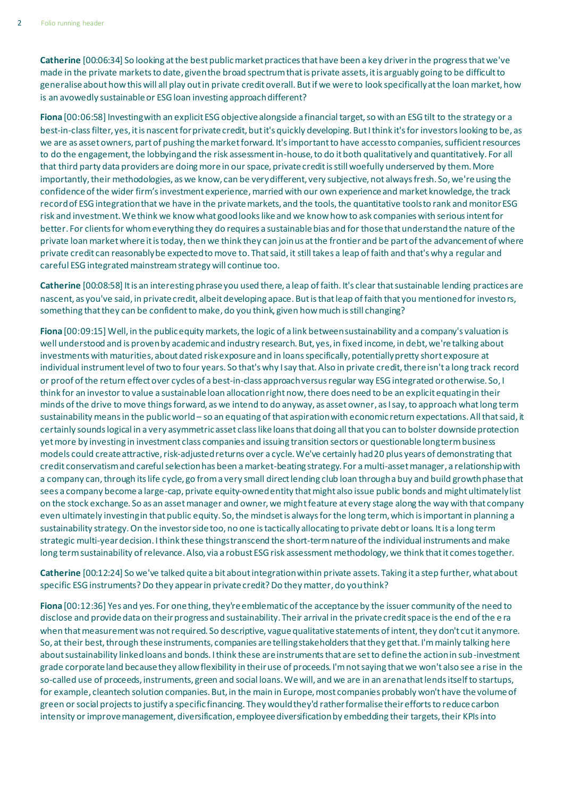**Catherine** [00:06:34] So looking at the best public market practices that have been a key driver in the progress that we've made in the private markets to date, given the broad spectrum that is private assets, it is arguably going to be difficult to generalise about how this will all play out in private credit overall. But if we were to look specifically at the loan market, how is an avowedly sustainable or ESG loan investing approach different?

**Fiona** [00:06:58] Investing with an explicit ESG objective alongside a financial target, so with an ESG tilt to the strategy or a best-in-classfilter, yes, it is nascent for private credit, but it's quickly developing. But I think it's for investors looking to be, as we are as asset owners, part of pushing the market forward. It's important to have access to companies, sufficient resources to do the engagement, the lobbying and the risk assessment in-house, to do it both qualitatively and quantitatively. For all that third party data providers are doing more in our space, private credit is still woefully underserved by them. More importantly, their methodologies, as we know, can be very different, very subjective, not always fresh. So, we're using the confidence of the wider firm's investment experience, married with our own experience and market knowledge, the track record of ESG integration that we have in the private markets, and the tools, the quantitative tools to rank and monitor ESG risk and investment. We think we know what good looks like and we know how to ask companies with serious intent for better. For clients for whom everything they do requires a sustainable bias and for those that understand the nature of the private loan market where it is today, then we think they can join us at the frontier and be part of the advancement of where private credit can reasonably be expected to move to. That said, it still takes a leap of faith and that's why a regular and careful ESG integrated mainstream strategy will continue too.

**Catherine** [00:08:58] It is an interesting phrase you used there, a leap of faith. It's clear that sustainable lending practices are nascent, as you've said, in private credit, albeit developing apace. But is that leap of faith that you mentioned for investors, something that they can be confident to make, do you think, given how much is still changing?

**Fiona** [00:09:15] Well, in the public equity markets, the logic of a link between sustainability and a company's valuation is well understood and is proven by academic and industry research. But, yes, in fixed income, in debt, we're talking about investments with maturities, about dated risk exposure and in loans specifically, potentially pretty short exposure at individual instrument level of two to four years. So that's why I say that. Also in private credit, there isn't a long track record or proof of the return effect over cycles of a best-in-class approach versus regular way ESG integrated or otherwise. So, I think for an investor to value a sustainable loan allocation right now, there does need to be an explicit equating in their minds of the drive to move things forward, as we intend to do anyway, as asset owner, as I say, to approach what long term sustainability means in the public world – so an equating of that aspiration with economic return expectations. All that said, it certainly sounds logical in a very asymmetric asset class like loans that doing all that you can to bolster downside protection yet more by investing in investment class companies and issuing transition sectors or questionable long term business models could create attractive, risk-adjusted returns over a cycle. We've certainly had 20 plus years of demonstrating that credit conservatism and careful selection has been a market-beating strategy. For a multi-asset manager, a relationship with a company can, through its life cycle, go from a very small direct lending club loan through a buy and build growth phase that sees a company become a large-cap, private equity-owned entity that might also issue public bonds and might ultimately list on the stock exchange. So as an asset manager and owner, we might feature at every stage along the way with that company even ultimately investing in that public equity. So, the mindset is always for the long term, which is important in planning a sustainability strategy. On the investor side too, no one is tactically allocating to private debt or loans. It is a long term strategic multi-year decision. I think these things transcend the short-term nature of the individual instruments and make long term sustainability of relevance. Also, via a robust ESG risk assessment methodology, we think that it comes together.

**Catherine** [00:12:24] So we've talked quite a bit about integration within private assets. Taking it a step further, what about specific ESG instruments? Do they appear in private credit? Do they matter, do you think?

**Fiona** [00:12:36] Yes and yes. For one thing, they're emblematic of the acceptance by the issuer community of the need to disclose and provide data on their progress and sustainability. Their arrival in the private credit space is the end of the e ra when that measurement was not required. So descriptive, vague qualitative statements of intent, they don't cut it anymore. So, at their best, through these instruments, companies are telling stakeholders that they get that. I'm mainly talking here about sustainability linked loans and bonds. I think these are instruments that are set to define the action in sub-investment grade corporate land because they allow flexibility in their use of proceeds. I'm not saying that we won't also see a rise in the so-called use of proceeds, instruments, green and social loans. We will, and we are in an arena that lends itself to startups, for example, cleantech solution companies. But, in the main in Europe, most companies probably won't have the volume of green or social projects to justify a specific financing. They would they'd rather formalise their efforts to reduce carbon intensity or improve management, diversification, employee diversification by embedding their targets, their KPIs into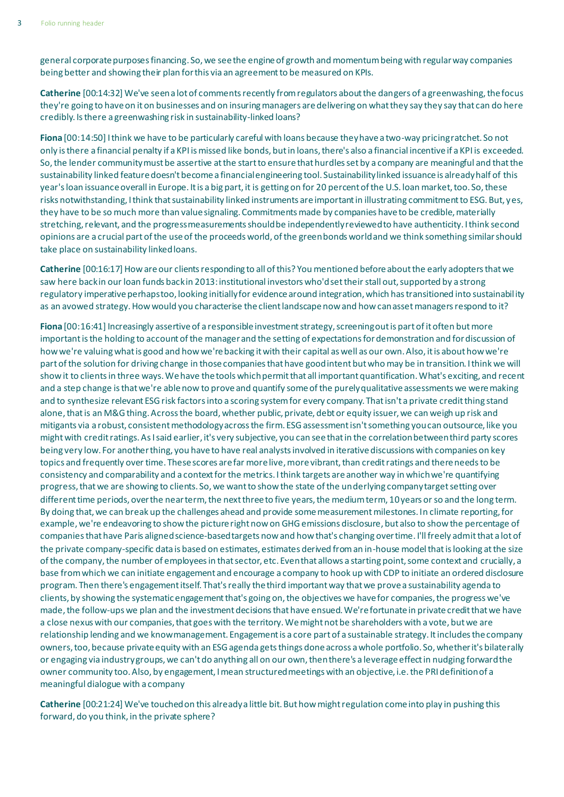general corporate purposes financing. So, we see the engine of growth and momentum being with regular way companies being better and showing their plan for this via an agreement to be measured on KPIs.

**Catherine** [00:14:32] We've seen a lot of comments recently from regulators about the dangers of a greenwashing, the focus they're going to have on it on businesses and on insuring managers are delivering on what they say they say that can do here credibly. Is there a greenwashing risk in sustainability-linked loans?

**Fiona** [00:14:50] I think we have to be particularly careful with loans because they have a two-way pricing ratchet. So not only is there a financial penalty if a KPI is missed like bonds, but in loans, there's also a financial incentive if a KPI is exceeded. So, the lender community must be assertive at the start to ensure that hurdles set by a company are meaningful and that the sustainability linked feature doesn't become a financial engineering tool. Sustainability linked issuance is already half of this year's loan issuance overall in Europe. It is a big part, it is getting on for 20 percent of the U.S. loan market, too. So, these risks notwithstanding, I think that sustainability linked instruments are important in illustrating commitment to ESG. But, yes, they have to be so much more than value signaling. Commitments made by companies have to be credible, materially stretching, relevant, and the progress measurements should be independently reviewed to have authenticity. I think second opinions are a crucial part of the use of the proceeds world, of the green bonds world and we think something similar should take place on sustainability linked loans.

**Catherine** [00:16:17] How are our clients responding to all of this? You mentioned before about the early adopters that we saw here back in our loan funds back in 2013: institutional investors who'd set their stall out, supported by a strong regulatory imperative perhaps too, looking initially for evidence around integration, which has transitioned into sustainability as an avowed strategy. How would you characterise the client landscape now and how can asset managers respond to it?

**Fiona** [00:16:41] Increasingly assertive of a responsible investment strategy, screening out is part of it often but more important is the holding to account of the manager and the setting of expectations for demonstration and for discussion of how we're valuing what is good and how we're backing it with their capital as well as our own. Also, it is about how we're part of the solution for driving change in those companies that have good intent but who may be in transition. I think we will show it to clients in three ways. We have the tools which permit that all important quantification. What's exciting, and recent and a step change is that we're able now to prove and quantify some of the purely qualitative assessments we were making and to synthesize relevant ESG risk factors into a scoring system for every company. That isn't a private credit thing stand alone, that is an M&G thing. Across the board, whether public, private, debt or equity issuer, we can weigh up risk and mitigants via a robust, consistent methodology across the firm. ESG assessment isn't something you can outsource, like you might with credit ratings. As I said earlier, it's very subjective, you can see that in the correlation between third party scores being very low. For another thing, you have to have real analysts involved in iterative discussions with companies on key topics and frequently over time. These scores are far more live, more vibrant, than credit ratings and there needs to be consistency and comparability and a context for the metrics. I think targets are another way in which we're quantifying progress, that we are showing to clients. So, we want to show the state of the underlying company target setting over different time periods, over the near term, the next three to five years, the medium term, 10 years or so and the long term. By doing that, we can break up the challenges ahead and provide some measurement milestones. In climate reporting, for example, we're endeavoring to show the picture right now on GHG emissions disclosure, but also to show the percentage of companies that have Paris aligned science-based targets now and how that's changing over time. I'll freely admit that a lot of the private company-specific data is based on estimates, estimates derived from an in-house model that is looking at the size of the company, the number of employees in that sector, etc. Even that allows a starting point, some context and crucially, a base from which we can initiate engagement and encourage a company to hook up with CDP to initiate an ordered disclosure program. Then there's engagement itself. That's really the third important way that we prove a sustainability agenda to clients, by showing the systematic engagement that's going on, the objectives we have for companies, the progress we've made, the follow-ups we plan and the investment decisions that have ensued. We're fortunate in private credit that we have a close nexus with our companies, that goes with the territory. We might not be shareholders with a vote, but we are relationship lending and we know management. Engagement is a core part of a sustainable strategy. It includes the company owners, too, because private equity with an ESG agenda gets things done across a whole portfolio. So, whether it's bilaterally or engaging via industry groups, we can't do anything all on our own, then there's a leverage effect in nudging forward the owner community too. Also, by engagement, I mean structured meetings with an objective, i.e. the PRI definition of a meaningful dialogue with a company

**Catherine** [00:21:24] We've touched on this already a little bit. But how might regulation come into play in pushing this forward, do you think, in the private sphere?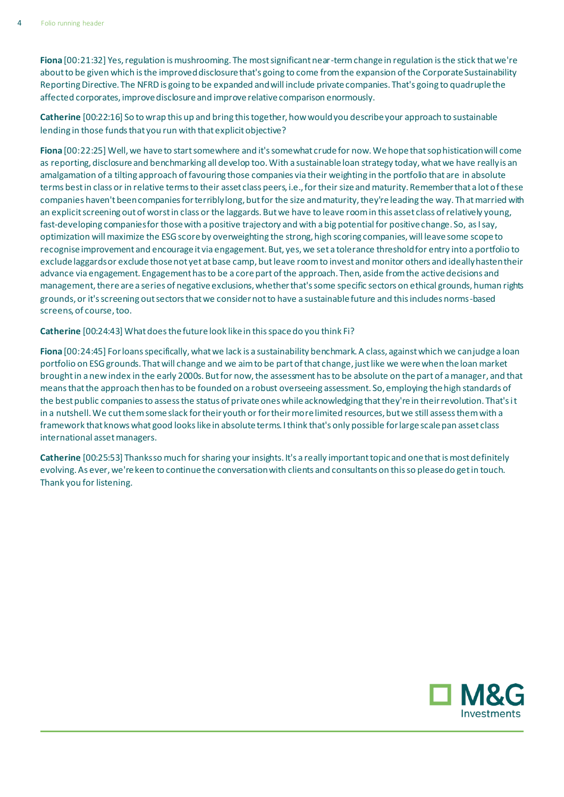**Fiona** [00:21:32] Yes, regulation is mushrooming. The most significant near-term change in regulation is the stick that we're about to be given which is the improved disclosure that's going to come from the expansion of the Corporate Sustainability Reporting Directive. The NFRD is going to be expanded and will include private companies. That's going to quadruple the affected corporates, improve disclosure and improve relative comparison enormously.

**Catherine** [00:22:16] So to wrap this up and bring this together, how would you describe your approach to sustainable lending in those funds that you run with that explicit objective?

**Fiona** [00:22:25] Well, we have to start somewhere and it's somewhat crude for now. We hope that sophistication will come as reporting, disclosure and benchmarking all develop too. With a sustainable loan strategy today, what we have really is an amalgamation of a tilting approach of favouring those companies via their weighting in the portfolio that are in absolute terms best in class or in relative terms to their asset class peers, i.e., for their size and maturity. Remember that a lot of these companies haven't been companies for terribly long, but for the size and maturity, they're leading the way. That married with an explicit screening out of worst in class or the laggards. But we have to leave room in this asset class of relatively young, fast-developing companies for those with a positive trajectory and with a big potential for positive change. So, as I say, optimization will maximize the ESG score by overweighting the strong, high scoring companies, will leave some scope to recognise improvement and encourage it via engagement. But, yes, we set a tolerance threshold for entry into a portfolio to exclude laggards or exclude those not yet at base camp, but leave room to invest and monitor others and ideally hasten their advance via engagement. Engagement has to be a core part of the approach. Then, aside from the active decisions and management, there are a series of negative exclusions, whether that's some specific sectors on ethical grounds, human rights grounds, or it's screening out sectors that we consider not to have a sustainable future and this includes norms-based screens, of course, too.

**Catherine** [00:24:43] What does the future look like in this space do you think Fi?

**Fiona** [00:24:45] For loans specifically, what we lack is a sustainability benchmark. A class, against which we can judge a loan portfolio on ESG grounds. That will change and we aim to be part of that change, just like we were when the loan market brought in a new index in the early 2000s. But for now, the assessment has to be absolute on the part of a manager, and that means that the approach then has to be founded on a robust overseeing assessment. So, employing the high standards of the best public companies to assess the status of private ones while acknowledging that they're in their revolution. That's it in a nutshell. We cut them some slack for their youth or for their more limited resources, but we still assess them with a framework that knows what good looks like in absolute terms. I think that's only possible for large scale pan asset class international asset managers.

**Catherine** [00:25:53] Thanks so much for sharing your insights. It's a really important topic and one that is most definitely evolving. As ever, we're keen to continue the conversation with clients and consultants on this so please do get in touch. Thank you for listening.